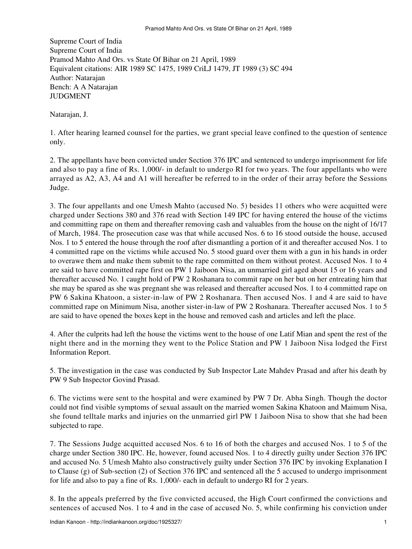Supreme Court of India Supreme Court of India Pramod Mahto And Ors. vs State Of Bihar on 21 April, 1989 Equivalent citations: AIR 1989 SC 1475, 1989 CriLJ 1479, JT 1989 (3) SC 494 Author: Natarajan Bench: A A Natarajan JUDGMENT

Natarajan, J.

1. After hearing learned counsel for the parties, we grant special leave confined to the question of sentence only.

2. The appellants have been convicted under Section 376 IPC and sentenced to undergo imprisonment for life and also to pay a fine of Rs. 1,000/- in default to undergo RI for two years. The four appellants who were arrayed as A2, A3, A4 and A1 will hereafter be referred to in the order of their array before the Sessions Judge.

3. The four appellants and one Umesh Mahto (accused No. 5) besides 11 others who were acquitted were charged under Sections 380 and 376 read with Section 149 IPC for having entered the house of the victims and committing rape on them and thereafter removing cash and valuables from the house on the night of 16/17 of March, 1984. The prosecution case was that while accused Nos. 6 to 16 stood outside the house, accused Nos. 1 to 5 entered the house through the roof after dismantling a portion of it and thereafter accused Nos. 1 to 4 committed rape on the victims while accused No. 5 stood guard over them with a gun in his hands in order to overawe them and make them submit to the rape committed on them without protest. Accused Nos. 1 to 4 are said to have committed rape first on PW 1 Jaiboon Nisa, an unmarried girl aged about 15 or 16 years and thereafter accused No. 1 caught hold of PW 2 Roshanara to commit rape on her but on her entreating him that she may be spared as she was pregnant she was released and thereafter accused Nos. 1 to 4 committed rape on PW 6 Sakina Khatoon, a sister-in-law of PW 2 Roshanara. Then accused Nos. 1 and 4 are said to have committed rape on Minimum Nisa, another sister-in-law of PW 2 Roshanara. Thereafter accused Nos. 1 to 5 are said to have opened the boxes kept in the house and removed cash and articles and left the place.

4. After the culprits had left the house the victims went to the house of one Latif Mian and spent the rest of the night there and in the morning they went to the Police Station and PW 1 Jaiboon Nisa lodged the First Information Report.

5. The investigation in the case was conducted by Sub Inspector Late Mahdev Prasad and after his death by PW 9 Sub Inspector Govind Prasad.

6. The victims were sent to the hospital and were examined by PW 7 Dr. Abha Singh. Though the doctor could not find visible symptoms of sexual assault on the married women Sakina Khatoon and Maimum Nisa, she found telltale marks and injuries on the unmarried girl PW 1 Jaiboon Nisa to show that she had been subjected to rape.

7. The Sessions Judge acquitted accused Nos. 6 to 16 of both the charges and accused Nos. 1 to 5 of the charge under Section 380 IPC. He, however, found accused Nos. 1 to 4 directly guilty under Section 376 IPC and accused No. 5 Umesh Mahto also constructively guilty under Section 376 IPC by invoking Explanation I to Clause (g) of Sub-section (2) of Section 376 IPC and sentenced all the 5 accused to undergo imprisonment for life and also to pay a fine of Rs. 1,000/- each in default to undergo RI for 2 years.

8. In the appeals preferred by the five convicted accused, the High Court confirmed the convictions and sentences of accused Nos. 1 to 4 and in the case of accused No. 5, while confirming his conviction under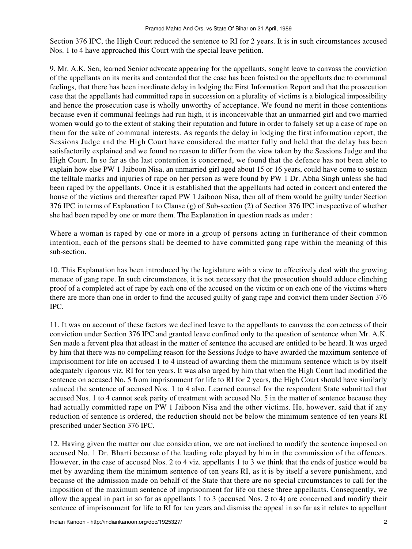Section 376 IPC, the High Court reduced the sentence to RI for 2 years. It is in such circumstances accused Nos. 1 to 4 have approached this Court with the special leave petition.

9. Mr. A.K. Sen, learned Senior advocate appearing for the appellants, sought leave to canvass the conviction of the appellants on its merits and contended that the case has been foisted on the appellants due to communal feelings, that there has been inordinate delay in lodging the First Information Report and that the prosecution case that the appellants had committed rape in succession on a plurality of victims is a biological impossibility and hence the prosecution case is wholly unworthy of acceptance. We found no merit in those contentions because even if communal feelings had run high, it is inconceivable that an unmarried girl and two married women would go to the extent of staking their reputation and future in order to falsely set up a case of rape on them for the sake of communal interests. As regards the delay in lodging the first information report, the Sessions Judge and the High Court have considered the matter fully and held that the delay has been satisfactorily explained and we found no reason to differ from the view taken by the Sessions Judge and the High Court. In so far as the last contention is concerned, we found that the defence has not been able to explain how else PW 1 Jaiboon Nisa, an unmarried girl aged about 15 or 16 years, could have come to sustain the telltale marks and injuries of rape on her person as were found by PW 1 Dr. Abha Singh unless she had been raped by the appellants. Once it is established that the appellants had acted in concert and entered the house of the victims and thereafter raped PW 1 Jaiboon Nisa, then all of them would be guilty under Section 376 IPC in terms of Explanation I to Clause (g) of Sub-section (2) of Section 376 IPC irrespective of whether she had been raped by one or more them. The Explanation in question reads as under :

Where a woman is raped by one or more in a group of persons acting in furtherance of their common intention, each of the persons shall be deemed to have committed gang rape within the meaning of this sub-section.

10. This Explanation has been introduced by the legislature with a view to effectively deal with the growing menace of gang rape. In such circumstances, it is not necessary that the prosecution should adduce clinching proof of a completed act of rape by each one of the accused on the victim or on each one of the victims where there are more than one in order to find the accused guilty of gang rape and convict them under Section 376 IPC.

11. It was on account of these factors we declined leave to the appellants to canvass the correctness of their conviction under Section 376 IPC and granted leave confined only to the question of sentence when Mr. A.K. Sen made a fervent plea that atleast in the matter of sentence the accused are entitled to be heard. It was urged by him that there was no compelling reason for the Sessions Judge to have awarded the maximum sentence of imprisonment for life on accused 1 to 4 instead of awarding them the minimum sentence which is by itself adequately rigorous viz. RI for ten years. It was also urged by him that when the High Court had modified the sentence on accused No. 5 from imprisonment for life to RI for 2 years, the High Court should have similarly reduced the sentence of accused Nos. 1 to 4 also. Learned counsel for the respondent State submitted that accused Nos. 1 to 4 cannot seek parity of treatment with accused No. 5 in the matter of sentence because they had actually committed rape on PW 1 Jaiboon Nisa and the other victims. He, however, said that if any reduction of sentence is ordered, the reduction should not be below the minimum sentence of ten years RI prescribed under Section 376 IPC.

12. Having given the matter our due consideration, we are not inclined to modify the sentence imposed on accused No. 1 Dr. Bharti because of the leading role played by him in the commission of the offences. However, in the case of accused Nos. 2 to 4 viz. appellants 1 to 3 we think that the ends of justice would be met by awarding them the minimum sentence of ten years RI, as it is by itself a severe punishment, and because of the admission made on behalf of the State that there are no special circumstances to call for the imposition of the maximum sentence of imprisonment for life on these three appellants. Consequently, we allow the appeal in part in so far as appellants 1 to 3 (accused Nos. 2 to 4) are concerned and modify their sentence of imprisonment for life to RI for ten years and dismiss the appeal in so far as it relates to appellant